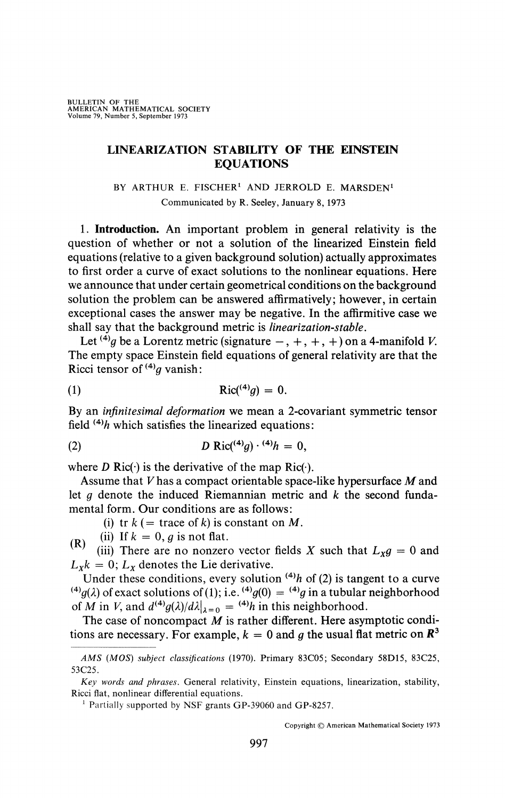## **LINEARIZATION STABILITY OF THE EINSTEIN EQUATIONS**

## BY ARTHUR E. FISCHER<sup>1</sup> AND JERROLD E. MARSDEN<sup>1</sup> Communicated by R. Seeley, January 8, 1973

**1. Introduction.** An important problem in general relativity is the question of whether or not a solution of the linearized Einstein field equations (relative to a given background solution) actually approximates to first order a curve of exact solutions to the nonlinear equations. Here we announce that under certain geometrical conditions on the background solution the problem can be answered affirmatively; however, in certain exceptional cases the answer may be negative. In the affirmitive case we shall say that the background metric is *linearization-stable.* 

Let <sup>(4)</sup>g be a Lorentz metric (signature  $-, +, +, +$ ) on a 4-manifold V. The empty space Einstein field equations of general relativity are that the Ricci tensor of  $(4)$  vanish:

$$
Ric(^{(4)}g) = 0.
$$

By an *infinitesimal deformation* we mean a 2-covariant symmetric tensor field *(4)h* which satisfies the linearized equations:

(2) 
$$
D \text{ Ric} (^{(4)}g) \cdot {}^{(4)}h = 0,
$$

where *D* Ric( $\cdot$ ) is the derivative of the map Ric( $\cdot$ ).

Assume that V has a compact orientable space-like hypersurface M and let *g* denote the induced Riemannian metric and *k* the second fundamental form. Our conditions are as follows:

(i) tr  $k$  (= trace of k) is constant on M.

(ii) If  $k = 0$ , *g* is not flat.

*(* (iii) There are no nonzero vector fields X such that  $L_X g = 0$  and  $L_x k = 0$ ;  $L_x$  denotes the Lie derivative.

Under these conditions, every solution  $^{(4)}h$  of (2) is tangent to a curve  $f^{(4)}g(\lambda)$  of exact solutions of (1); i.e.  $f^{(4)}g(0) = f^{(4)}g$  in a tubular neighborhood of M in V, and  $d^{(4)}g(\lambda)/d\lambda|_{\lambda=0} = (4)h$  in this neighborhood.

The case of noncompact *M* is rather different. Here asymptotic conditions are necessary. For example,  $k = 0$  and g the usual flat metric on  $\mathbb{R}^3$ 

*AMS (MOS) subject classifications* (1970). Primary 83C05; Secondary 58D15, 83C25, 53C25.

*Key words and phrases.* General relativity, Einstein equations, linearization, stability, Ricci flat, nonlinear differential equations.

<sup>&</sup>lt;sup>1</sup> Partially supported by NSF grants GP-39060 and GP-8257.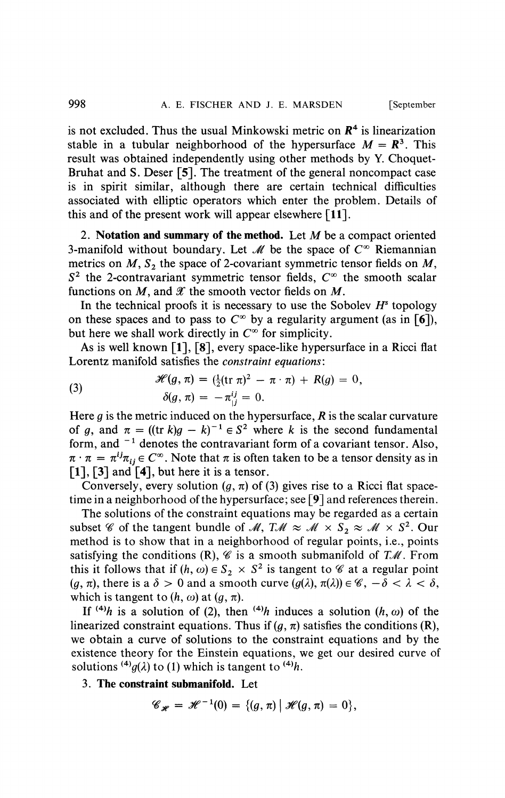is not excluded. Thus the usual Minkowski metric on *R\** is linearization stable in a tubular neighborhood of the hypersurface  $M = \mathbb{R}^3$ . This result was obtained independently using other methods by Y. Choquet-Bruhat and S. Deser [5]. The treatment of the general noncompact case is in spirit similar, although there are certain technical difficulties associated with elliptic operators which enter the problem. Details of this and of the present work will appear elsewhere **[11].** 

2. **Notation and summary of the method.** Let M be a compact oriented 3-manifold without boundary. Let  $\mathcal M$  be the space of  $C^{\infty}$  Riemannian metrics on  $M$ ,  $S_2$  the space of 2-covariant symmetric tensor fields on  $M$ ,  $S<sup>2</sup>$  the 2-contravariant symmetric tensor fields,  $C<sup>\infty</sup>$  the smooth scalar functions on M, and *X* the smooth vector fields on *M.* 

In the technical proofs it is necessary to use the Sobolev *H<sup>s</sup>* topology on these spaces and to pass to  $C^{\infty}$  by a regularity argument (as in [6]), but here we shall work directly in  $C^{\infty}$  for simplicity.

As is well known [1], [8], every space-like hypersurface in a Ricci flat Lorentz manifold satisfies the *constraint equations:* 

(3) 
$$
\mathscr{H}(g,\pi) = (\frac{1}{2}(\text{tr }\pi)^2 - \pi \cdot \pi) + R(g) = 0, \delta(g,\pi) = -\pi^{ij}_{;i} = 0.
$$

Here *g* is the metric induced on the hypersurface, *R* is the scalar curvature of g, and  $\pi = ((\text{tr } k)g - k)^{-1} \in S^2$  where k is the second fundamental form, and  $^{-1}$  denotes the contravariant form of a covariant tensor. Also,  $\pi \cdot \pi = \pi^{ij}\pi_{ij} \in C^{\infty}$ . Note that  $\pi$  is often taken to be a tensor density as in **[1],** [3] and **[4],** but here it is a tensor.

Conversely, every solution  $(q, \pi)$  of (3) gives rise to a Ricci flat spacetime in a neighborhood of the hypersurface; see [9] and references therein.

The solutions of the constraint equations may be regarded as a certain subset *%* of the tangent bundle of *M*,  $T\mathcal{M} \approx \mathcal{M} \times S_2 \approx \mathcal{M} \times S^2$ . Our method is to show that in a neighborhood of regular points, i.e., points satisfying the conditions  $(R)$ ,  $\mathscr C$  is a smooth submanifold of  $T\mathscr M$ . From this it follows that if  $(h, \omega) \in S_2 \times S^2$  is tangent to  $\mathscr C$  at a regular point  $(q, \pi)$ , there is a  $\delta > 0$  and a smooth curve  $(q(\lambda), \pi(\lambda)) \in \mathscr{C}, -\delta < \lambda < \delta$ , which is tangent to  $(h, \omega)$  at  $(q, \pi)$ .

If <sup>(4)</sup>h is a solution of (2), then <sup>(4)</sup>h induces a solution (h,  $\omega$ ) of the linearized constraint equations. Thus if  $(q, \pi)$  satisfies the conditions (R), we obtain a curve of solutions to the constraint equations and by the existence theory for the Einstein equations, we get our desired curve of solutions <sup>(4)</sup> $g(\lambda)$  to (1) which is tangent to <sup>(4)</sup>h.

3. **The constraint submanifold.** Let

$$
\mathscr{C}_{\mathscr{H}}=\mathscr{H}^{-1}(0)=\{(g,\pi)\,|\,\mathscr{H}(g,\pi)=0\},\
$$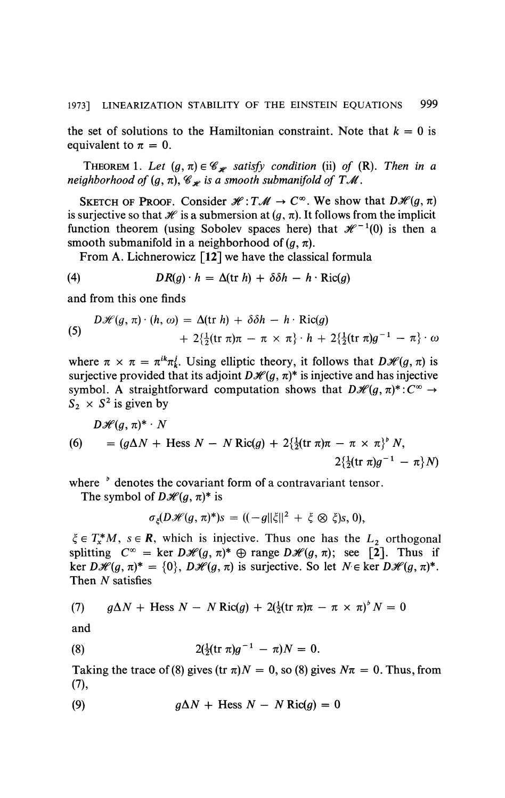the set of solutions to the Hamiltonian constraint. Note that  $k = 0$  is equivalent to  $\pi = 0$ .

THEOREM 1. Let  $(g, \pi) \in \mathcal{C}_{\mathcal{H}}$  satisfy condition (ii) of (R). Then in a *neighborhood of*  $(g, \pi)$ ,  $\mathscr{C}_{\mathscr{H}}$  is a smooth submanifold of TM.

SKETCH OF PROOF. Consider  $\mathcal{H}: T\mathcal{M} \to C^{\infty}$ . We show that  $D\mathcal{H}(g,\pi)$ is surjective so that  $\mathcal H$  is a submersion at  $(g, \pi)$ . It follows from the implicit function theorem (using Sobolev spaces here) that  $\mathcal{H}^{-1}(0)$  is then a smooth submanifold in a neighborhood of  $(q, \pi)$ .

From A. Lichnerowicz  $\lceil 12 \rceil$  we have the classical formula

(4) 
$$
DR(g) \cdot h = \Delta(\text{tr } h) + \delta \delta h - h \cdot \text{Ric}(g)
$$

and from this one finds

(5) 
$$
D\mathscr{H}(g,\pi) \cdot (h,\omega) = \Delta(\text{tr } h) + \delta \delta h - h \cdot \text{Ric}(g) + 2\left\{\frac{1}{2}(\text{tr } \pi)\pi - \pi \times \pi\right\} \cdot h + 2\left\{\frac{1}{2}(\text{tr } \pi)g^{-1} - \pi\right\} \cdot \omega
$$

where  $\pi \times \pi = \pi^{ik}\pi^{j}$ . Using elliptic theory, it follows that  $D\mathcal{H}(g,\pi)$  is surjective provided that its adjoint  $D\mathcal{H}(g, \pi)^*$  is injective and has injective symbol. A straightforward computation shows that  $D\mathscr{H}(g,\pi)^*:C^{\infty}\to$  $S_2 \times S^2$  is given by

$$
D\mathscr{H}(g,\pi)^* \cdot N
$$
  
(6) =  $(g\Delta N + \text{Hess }N - N\text{ Ric}(g) + 2\{\frac{1}{2}(\text{tr }\pi)\pi - \pi \times \pi\}^b N,$   
 $2\{\frac{1}{2}(\text{tr }\pi)g^{-1} - \pi\}N)$ 

where <sup>b</sup> denotes the covariant form of a contravariant tensor.

The symbol of  $D\mathcal{H}(q, \pi)^*$  is

$$
\sigma_{\xi}(D\mathscr{H}(g,\pi)^{*})s = ((-g||\xi||^{2} + \xi \otimes \xi)s, 0),
$$

 $\xi \in T^*M$ ,  $s \in \mathbb{R}$ , which is injective. Thus one has the  $L_2$  orthogonal splitting  $C^{\infty}$  = ker  $D\mathcal{H}(g, \pi)^{*} \oplus \text{range } D\mathcal{H}(g, \pi);$  see [2]. Thus if ker  $D\mathcal{H}(g, \pi)^* = \{0\}, D\mathcal{H}(g, \pi)$  is surjective. So let  $N \in \text{ker } D\mathcal{H}(g, \pi)^*$ . Then  $N$  satisfies

(7) 
$$
g\Delta N + \text{Hess } N - N \text{ Ric}(g) + 2(\frac{1}{2}(\text{tr }\pi)\pi - \pi \times \pi)^{b} N = 0
$$

and

(8) 
$$
2(\frac{1}{2}(\text{tr }\pi)g^{-1} - \pi)N = 0.
$$

Taking the trace of (8) gives (tr  $\pi$ )  $N = 0$ , so (8) gives  $N\pi = 0$ . Thus, from (7),

(9) 
$$
g\Delta N + \text{Hess } N - N \text{ Ric}(g) = 0
$$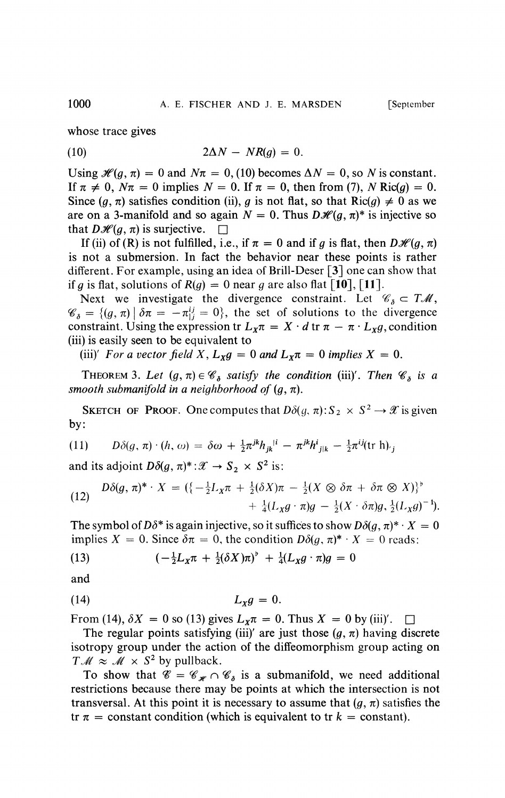whose trace gives

$$
(10) \t\t 2\Delta N - NR(g) = 0.
$$

Using  $\mathcal{H}(g, \pi) = 0$  and  $N\pi = 0$ , (10) becomes  $\Delta N = 0$ , so N is constant. If  $\pi \neq 0$ ,  $N\pi = 0$  implies  $N = 0$ . If  $\pi = 0$ , then from (7), N Ric(q) = 0. Since  $(q, \pi)$  satisfies condition (ii), *g* is not flat, so that  $Ric(q) \neq 0$  as we are on a 3-manifold and so again  $N = 0$ . Thus  $D\mathcal{H}(g, \pi)^*$  is injective so that  $D\mathcal{H}(q, \pi)$  is surjective.  $\Box$ 

If (ii) of (R) is not fulfilled, i.e., if  $\pi = 0$  and if g is flat, then  $D\mathcal{H}(q, \pi)$ is not a submersion. In fact the behavior near these points is rather different. For example, using an idea of Brill-Deser [3] one can show that *if q is flat, solutions of*  $R(g) = 0$  *near g are also flat [10], [11].* 

Next we investigate the divergence constraint. Let  $\mathscr{C}_{\delta} \subset T\mathscr{M}$ ,  $\mathscr{C}_{\delta} = \{(g, \pi) | \delta \pi = -\pi_{1}^{ij} = 0\}$ , the set of solutions to the divergence constraint. Using the expression tr  $L_x \pi = X \cdot d$  tr  $\pi - \pi \cdot L_x g$ , condition (iii) is easily seen to be equivalent to

(iii)' For a vector field X,  $L_X g = 0$  and  $L_X \pi = 0$  implies  $X = 0$ .

THEOREM 3. Let  $(g, \pi) \in \mathscr{C}_{\delta}$  satisfy the condition (iii)'. Then  $\mathscr{C}_{\delta}$  is a *smooth submanifold in a neighborhood of*  $(q, \pi)$ *.* 

SKETCH OF PROOF. One computes that  $D\delta(g, \pi): S_2 \times S^2 \to \mathcal{X}$  is given by:

(11) 
$$
D\delta(g,\pi)\cdot(h,\omega)=\delta\omega+\frac{1}{2}\pi^{jk}h_{jk}^{\;\;\vert i}-\pi^{jk}h_{j\vert k}^i-\frac{1}{2}\pi^{ij}(\text{tr}\,\mathbf{h})_{\cdot j}
$$

and its adjoint  $D\delta(q, \pi)^* : \mathcal{X} \to S_2 \times S^2$  is:

(12) 
$$
D\delta(g,\,\pi)^* \cdot X = \left( \{-\frac{1}{2}L_X\pi + \frac{1}{2}(\delta X)\pi - \frac{1}{2}(X \otimes \delta \pi + \delta \pi \otimes X) \right)^{\flat} + \frac{1}{4}(L_Xg \cdot \pi)g - \frac{1}{2}(X \cdot \delta \pi)g, \frac{1}{2}(L_Xg)^{-1}.
$$

The symbol of  $D\delta^*$  is again injective, so it suffices to show  $D\delta(q, \pi)^* \cdot X = 0$ implies  $X = 0$ . Since  $\delta \pi = 0$ , the condition  $D\delta(q, \pi)^* \cdot X = 0$  reads:

(13) 
$$
\left(-\frac{1}{2}L_X\pi + \frac{1}{2}(\delta X)\pi\right)^{\flat} + \frac{1}{4}(L_Xg \cdot \pi)g = 0
$$

and

$$
(14) \t\t\t L_X g = 0.
$$

From (14),  $\delta X = 0$  so (13) gives  $L_x \pi = 0$ . Thus  $X = 0$  by (iii)'.  $\square$ 

The regular points satisfying (iii)' are just those  $(g, \pi)$  having discrete isotropy group under the action of the diffeomorphism group acting on  $T\mathcal{M} \approx \mathcal{M} \times S^2$  by pullback.

To show that  $\mathscr{C} = \mathscr{C}_{\mathscr{H}} \cap \mathscr{C}_{\delta}$  is a submanifold, we need additional restrictions because there may be points at which the intersection is not transversal. At this point it is necessary to assume that  $(g, \pi)$  satisfies the tr  $\pi$  = constant condition (which is equivalent to tr  $k$  = constant).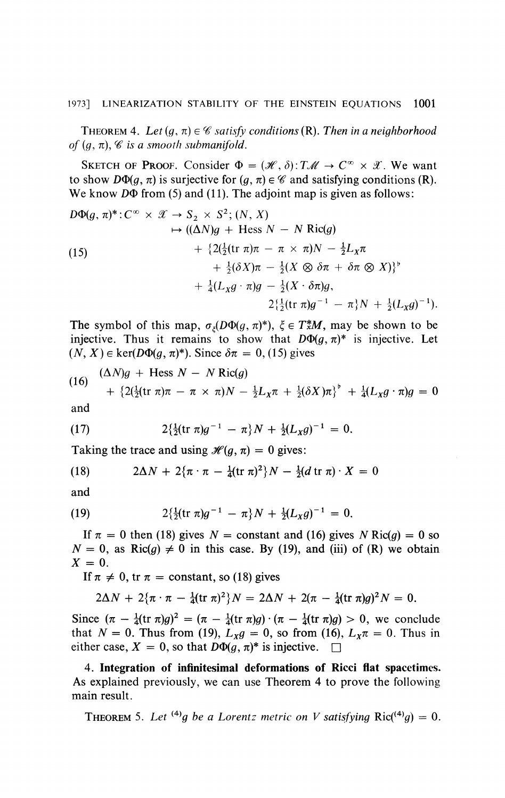THEOREM 4. Let  $(g, \pi) \in \mathscr{C}$  satisfy conditions  $(R)$ . Then in a neighborhood *of*  $(q, \pi)$ ,  $\mathscr C$  *is a smooth submanifold.* 

SKETCH OF PROOF. Consider  $\Phi = (\mathcal{H}, \delta): T\mathcal{M} \to C^{\infty} \times \mathcal{X}$ . We want to show  $D\Phi(q,\pi)$  is surjective for  $(q,\pi) \in \mathscr{C}$  and satisfying conditions (R). We know *D* $\Phi$  from (5) and (11). The adjoint map is given as follows:

$$
D\Phi(g, \pi)^*: C^{\infty} \times \mathcal{X} \to S_2 \times S^2; (N, X)
$$
  
\n
$$
\mapsto ((\Delta N)g + \text{Hess } N - N \text{ Ric}(g)
$$
  
\n
$$
+ \{2(\frac{1}{2}(\text{tr } \pi)\pi - \pi \times \pi)N - \frac{1}{2}L_X\pi
$$
  
\n
$$
+ \frac{1}{2}(\delta X)\pi - \frac{1}{2}(X \otimes \delta \pi + \delta \pi \otimes X)\}^{\flat}
$$
  
\n
$$
+ \frac{1}{4}(L_Xg \cdot \pi)g - \frac{1}{2}(X \cdot \delta \pi)g,
$$
  
\n
$$
2(\frac{1}{2}(\text{tr } \pi)g^{-1} - \pi)N + \frac{1}{2}(L_Xg)^{-1}).
$$

The symbol of this map,  $\sigma_{\xi}(D\Phi(g, \pi)^*)$ ,  $\xi \in T^*M$ , may be shown to be injective. Thus it remains to show that  $D\Phi(q, \pi)^*$  is injective. Let  $(N, X) \in \text{ker}(D\Phi(q, \pi)^*)$ . Since  $\delta \pi = 0$ , (15) gives

(16) 
$$
\frac{(\Delta N)g + \text{Hess } N - N \text{ Ric}(g)}{+ \{2(\frac{1}{2}(\text{tr } \pi)\pi - \pi \times \pi)N - \frac{1}{2}L_X\pi + \frac{1}{2}(\delta X)\pi\}^{\flat} + \frac{1}{4}(L_Xg \cdot \pi)g = 0
$$

and

(17) 
$$
2\left\{\frac{1}{2}(\text{tr }\pi)g^{-1} - \pi\right\}N + \frac{1}{2}(L_Xg)^{-1} = 0.
$$

Taking the trace and using  $\mathcal{H}(q, \pi) = 0$  gives:

(18) 
$$
2\Delta N + 2\{\pi \cdot \pi - \frac{1}{4}(\text{tr }\pi)^2\}N - \frac{1}{2}(d \text{tr }\pi) \cdot X = 0
$$

and

(19) 
$$
2\left\{\frac{1}{2}(\text{tr }\pi)g^{-1} - \pi\right\}N + \frac{1}{2}(L_Xg)^{-1} = 0.
$$

If  $\pi = 0$  then (18) gives  $N =$  constant and (16) gives  $N \text{ Ric}(q) = 0$  so  $N = 0$ , as Ric(g)  $\neq 0$  in this case. By (19), and (iii) of (R) we obtain  $X = 0$ .

If  $\pi \neq 0$ , tr  $\pi =$  constant, so (18) gives

$$
2\Delta N + 2\{\pi \cdot \pi - \frac{1}{4}(\text{tr }\pi)^2\}N = 2\Delta N + 2(\pi - \frac{1}{4}(\text{tr }\pi)g)^2N = 0.
$$

Since  $(\pi - \frac{1}{4}(\text{tr }\pi)g)^2 = (\pi - \frac{1}{4}(\text{tr }\pi)g) \cdot (\pi - \frac{1}{4}(\text{tr }\pi)g) > 0$ , we conclude that  $N = 0$ . Thus from (19),  $L_X g = 0$ , so from (16),  $L_X \pi = 0$ . Thus in either case,  $X = 0$ , so that  $D\Phi(q, \pi)^*$  is injective.  $\square$ 

4. Integration of infinitesimal deformations of Ricci flat spacetimes. As explained previously, we can use Theorem 4 to prove the following main result.

**THEOREM** 5. Let <sup>(4)</sup>g be a Lorentz metric on V satisfying  $\text{Ric}^{(4)}(g) = 0$ .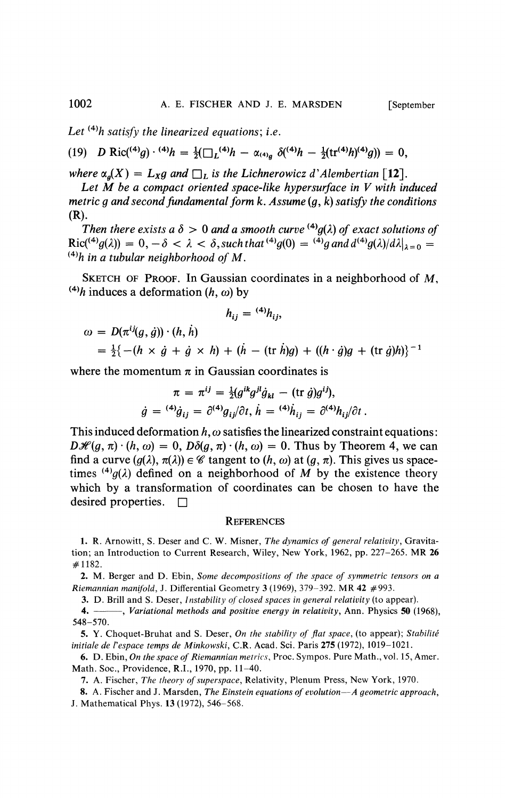Let  $(4)$ *h* satisfy the linearized equations; i.e.

(19) 
$$
D \text{ Ric} (^{(4)}g) \cdot {}^{(4)}h = \frac{1}{2} (\square_L {}^{(4)}h - \alpha {}_{(4)}g} \delta ({}^{(4)}h - \frac{1}{2} (\text{tr}^{(4)}h) {}^{(4)}g)) = 0,
$$

*where*  $\alpha_q(X) = L_Xq$  and  $\Box_L$  *is the Lichnerowicz d'Alembertian* [12].

*Let M be a compact oriented space-like hypersurface in V with induced metric g and second fundamental form k. Assume (g, k) satisfy the conditions*  (R).

Then there exists a  $\delta > 0$  and a smooth curve <sup>(4)</sup>g( $\lambda$ ) of exact solutions of  $\text{Ric}^{(4)}g(\lambda) = 0, -\delta < \lambda < \delta, \text{such that}^{(4)}g(0) = {}^{(4)}g \text{ and } d^{(4)}g(\lambda)/d\lambda|_{\lambda=0} =$  $^{(4)}h$  in a tubular neighborhood of M.

SKETCH OF PROOF. In Gaussian coordinates in a neighborhood of  $M$ ,  $^{(4)}h$  induces a deformation  $(h, \omega)$  by

$$
h_{ij} = {}^{(4)}h_{ij},
$$

$$
\omega = D(\pi^{ij}(g, \dot{g})) \cdot (h, \dot{h}) \n= \frac{1}{2} \{ -(h \times \dot{g} + \dot{g} \times h) + (\dot{h} - (\text{tr } \dot{h})g) + ((h \cdot \dot{g})g + (\text{tr } \dot{g})h) \}^{-1}
$$

where the momentum  $\pi$  in Gaussian coordinates is

$$
\pi = \pi^{ij} = \frac{1}{2} (g^{ik} g^{jl} \dot{g}_{kl} - (\text{tr } \dot{g}) g^{ij}),
$$
  

$$
\dot{g} = {}^{(4)} \dot{g}_{ij} = \partial^{(4)} g_{ij} / \partial t, \, \dot{h} = {}^{(4)} \dot{h}_{ij} = \partial^{(4)} h_{ij} / \partial t.
$$

This induced deformation  $h, \omega$  satisfies the linearized constraint equations:  $D\mathcal{H}(q,\pi)\cdot(h,\omega) = 0$ ,  $D\delta(q,\pi)\cdot(h,\omega) = 0$ . Thus by Theorem 4, we can find a curve  $(g(\lambda), \pi(\lambda)) \in \mathscr{C}$  tangent to  $(h, \omega)$  at  $(g, \pi)$ . This gives us spacetimes  $^{(4)}g(\lambda)$  defined on a neighborhood of M by the existence theory which by a transformation of coordinates can be chosen to have the desired properties.  $\square$ 

## **REFERENCES**

1. R. Arnowitt, S. Deser and C. W. Misner, *The dynamics of general relativity,* Gravitation; an Introduction to Current Research, Wiley, New York, 1962, pp. 227-265. MR 26 #1182.

2. M. Berger and D. Ebin, *Some decompositions of the space of symmetric tensors on a Riemannian manifold,* J. Differential Geometry 3 (1969), 379-392. MR **42** #993.

3. D. Brill and S. Deser, *Instability of closed spaces in general relativity* (to appear).

4. , *Variational methods and positive energy in relativity,* Ann. Physics **50** (1968), **548-570.** 

5. Y. Choquet-Bruhat and S. Deser, *On the stability of flat space,* (to appear); *Stabilité initiale de l'espace temps de Minkowski,* C.R. Acad. Sci. Paris **275** (1972), 1019-1021.

6. D. Ebin, *On the space of Riemannian metrics,* Proc. Sympos. Pure Math., vol. 15, Amer. Math. Soc, Providence, R.I., 1970, pp. 11-40.

7. A. Fischer, The theory of superspace, Relativity, Plenum Press, New York, 1970.

8. A. Fischer and J. Marsden, *The Einstein equations of evolution*—*A geometric approach,*  J. Mathematical Phys. 13 (1972), 546-568.